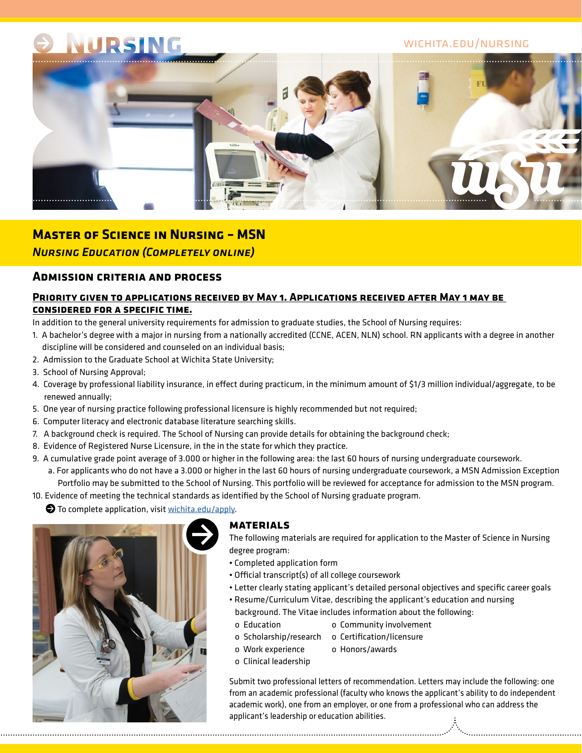# NURSING

## wichita.edu/nursing



## **Master of Science in Nursing – MSN** *Nursing Education (Completely online)*

## **Admission criteria and process**

### **Priority given to applications received by May 1. Applications received after May 1 may be considered for a specific time.**

In addition to the general university requirements for admission to graduate studies, the School of Nursing requires:

- 1. A bachelor's degree with a major in nursing from a nationally accredited (CCNE, ACEN, NLN) school. RN applicants with a degree in another discipline will be considered and counseled on an individual basis;
- 2. Admission to the Graduate School at Wichita State University;
- 3. School of Nursing Approval;
- 4. Coverage by professional liability insurance, in effect during practicum, in the minimum amount of \$1/3 million individual/aggregate, to be renewed annually;
- 5. One year of nursing practice following professional licensure is highly recommended but not required;
- 6. Computer literacy and electronic database literature searching skills.
- 7. A background check is required. The School of Nursing can provide details for obtaining the background check;
- 8. Evidence of Registered Nurse Licensure, in the in the state for which they practice.
- 9. A cumulative grade point average of 3.000 or higher in the following area: the last 60 hours of nursing undergraduate coursework.
	- a. For applicants who do not have a 3.000 or higher in the last 60 hours of nursing undergraduate coursework, a MSN Admission Exception Portfolio may be submitted to the School of Nursing. This portfolio will be reviewed for acceptance for admission to the MSN program.
- 10. Evidence of meeting the technical standards as identified by the School of Nursing graduate program.

 $\bullet$  To complete application, visit [wichita.edu/apply.](http://wsu-info.org/go/split.htm)



#### **materials**

The following materials are required for application to the Master of Science in Nursing degree program:

- Completed application form
- Official transcript(s) of all college coursework
- Letter clearly stating applicant's detailed personal objectives and specific career goals
- Resume/Curriculum Vitae, describing the applicant's education and nursing background. The Vitae includes information about the following:
	- o Education o Community involvement
	- o Scholarship/research o Certification/licensure
	- o Work experience o Honors/awards
	- o Clinical leadership

Submit two professional letters of recommendation. Letters may include the following: one from an academic professional (faculty who knows the applicant's ability to do independent academic work), one from an employer, or one from a professional who can address the applicant's leadership or education abilities.